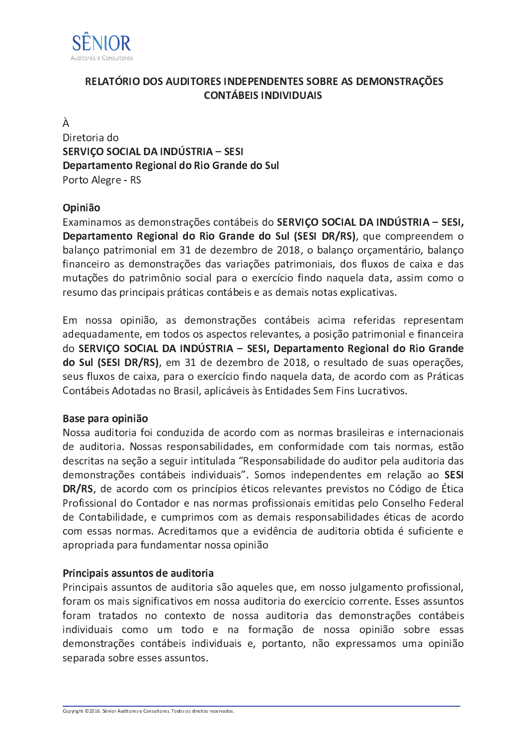

# RELATÓRIO DOS AUDITORES INDEPENDENTES SOBRE AS DEMONSTRAÇÕES **CONTÁBEIS INDIVIDUAIS**

### À

Diretoria do SERVICO SOCIAL DA INDÚSTRIA – SESI Departamento Regional do Rio Grande do Sul Porto Alegre - RS

## Opinião

Examinamos as demonstrações contábeis do SERVIÇO SOCIAL DA INDÚSTRIA - SESI, Departamento Regional do Rio Grande do Sul (SESI DR/RS), que compreendem o balanço patrimonial em 31 de dezembro de 2018, o balanço orçamentário, balanço financeiro as demonstrações das variações patrimoniais, dos fluxos de caixa e das mutações do patrimônio social para o exercício findo naquela data, assim como o resumo das principais práticas contábeis e as demais notas explicativas.

Em nossa opinião, as demonstrações contábeis acima referidas representam adequadamente, em todos os aspectos relevantes, a posição patrimonial e financeira do SERVIÇO SOCIAL DA INDÚSTRIA - SESI, Departamento Regional do Rio Grande do Sul (SESI DR/RS), em 31 de dezembro de 2018, o resultado de suas operações, seus fluxos de caixa, para o exercício findo naquela data, de acordo com as Práticas Contábeis Adotadas no Brasil, aplicáveis às Entidades Sem Fins Lucrativos.

#### Base para opinião

Nossa auditoria foi conduzida de acordo com as normas brasileiras e internacionais de auditoria. Nossas responsabilidades, em conformidade com tais normas, estão descritas na seção a seguir intitulada "Responsabilidade do auditor pela auditoria das demonstrações contábeis individuais". Somos independentes em relação ao SESI DR/RS, de acordo com os princípios éticos relevantes previstos no Código de Ética Profissional do Contador e nas normas profissionais emitidas pelo Conselho Federal de Contabilidade, e cumprimos com as demais responsabilidades éticas de acordo com essas normas. Acreditamos que a evidência de auditoria obtida é suficiente e apropriada para fundamentar nossa opinião

## Principais assuntos de auditoria

Principais assuntos de auditoria são aqueles que, em nosso julgamento profissional, foram os mais significativos em nossa auditoria do exercício corrente. Esses assuntos foram tratados no contexto de nossa auditoria das demonstrações contábeis individuais como um todo e na formação de nossa opinião sobre essas demonstrações contábeis individuais e, portanto, não expressamos uma opinião separada sobre esses assuntos.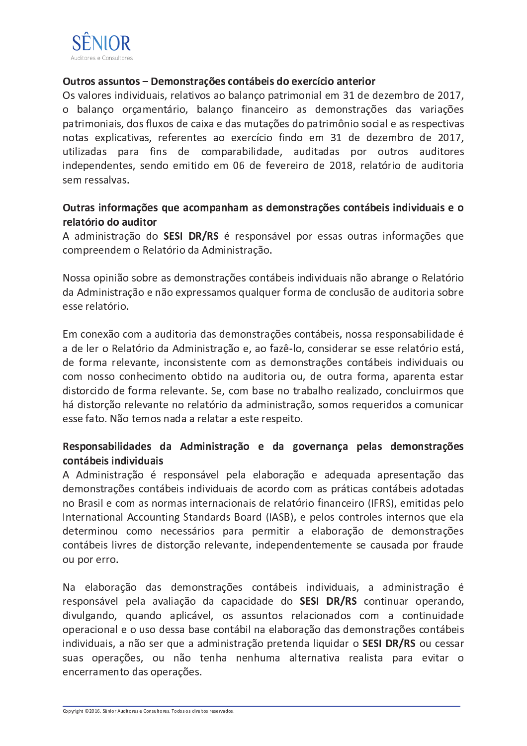

#### Outros assuntos - Demonstrações contábeis do exercício anterior

Os valores individuais, relativos ao balanço patrimonial em 31 de dezembro de 2017, o balanço orçamentário, balanço financeiro as demonstrações das variações patrimoniais, dos fluxos de caixa e das mutações do patrimônio social e as respectivas notas explicativas, referentes ao exercício findo em 31 de dezembro de 2017, utilizadas para fins de comparabilidade, auditadas por outros auditores independentes, sendo emitido em 06 de fevereiro de 2018, relatório de auditoria sem ressalvas

### Outras informações que acompanham as demonstrações contábeis individuais e o relatório do auditor

A administração do SESI DR/RS é responsável por essas outras informações que compreendem o Relatório da Administração.

Nossa opinião sobre as demonstrações contábeis individuais não abrange o Relatório da Administração e não expressamos qualquer forma de conclusão de auditoria sobre esse relatório.

Em conexão com a auditoria das demonstrações contábeis, nossa responsabilidade é a de ler o Relatório da Administração e, ao fazê-lo, considerar se esse relatório está, de forma relevante, inconsistente com as demonstrações contábeis individuais ou com nosso conhecimento obtido na auditoria ou, de outra forma, aparenta estar distorcido de forma relevante. Se, com base no trabalho realizado, concluirmos que há distorção relevante no relatório da administração, somos requeridos a comunicar esse fato. Não temos nada a relatar a este respeito.

### Responsabilidades da Administração e da governança pelas demonstrações contábeis individuais

A Administração é responsável pela elaboração e adequada apresentação das demonstrações contábeis individuais de acordo com as práticas contábeis adotadas no Brasil e com as normas internacionais de relatório financeiro (IFRS), emitidas pelo International Accounting Standards Board (IASB), e pelos controles internos que ela determinou como necessários para permitir a elaboração de demonstrações contábeis livres de distorção relevante, independentemente se causada por fraude ou por erro.

Na elaboração das demonstrações contábeis individuais, a administração é responsável pela avaliação da capacidade do SESI DR/RS continuar operando, divulgando, quando aplicável, os assuntos relacionados com a continuidade operacional e o uso dessa base contábil na elaboração das demonstrações contábeis individuais, a não ser que a administração pretenda liquidar o SESI DR/RS ou cessar suas operações, ou não tenha nenhuma alternativa realista para evitar o encerramento das operações.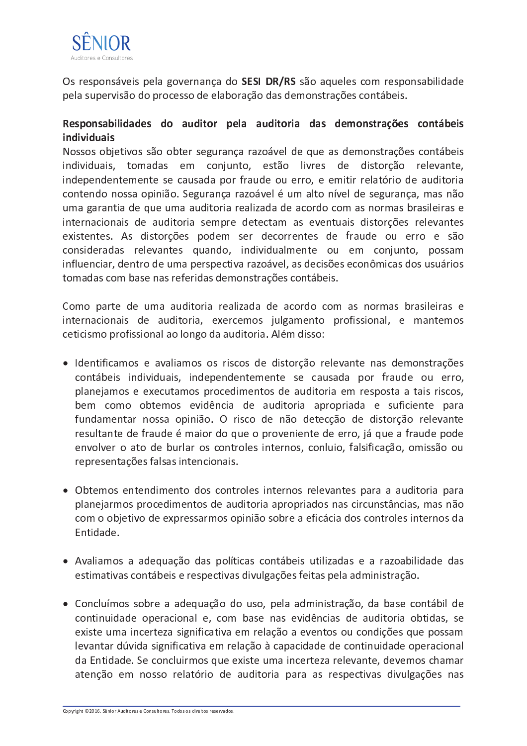

Os responsáveis pela governança do SESI DR/RS são aqueles com responsabilidade pela supervisão do processo de elaboração das demonstrações contábeis.

# Responsabilidades do auditor pela auditoria das demonstrações contábeis individuais

Nossos objetivos são obter segurança razoável de que as demonstrações contábeis individuais, tomadas em conjunto, estão livres de distorção relevante, independentemente se causada por fraude ou erro, e emitir relatório de auditoria contendo nossa opinião. Segurança razoável é um alto nível de segurança, mas não uma garantia de que uma auditoria realizada de acordo com as normas brasileiras e internacionais de auditoria sempre detectam as eventuais distorções relevantes existentes. As distorções podem ser decorrentes de fraude ou erro e são consideradas relevantes quando, individualmente ou em conjunto, possam influenciar, dentro de uma perspectiva razoável, as decisões econômicas dos usuários tomadas com base nas referidas demonstrações contábeis.

Como parte de uma auditoria realizada de acordo com as normas brasileiras e internacionais de auditoria, exercemos julgamento profissional, e mantemos ceticismo profissional ao longo da auditoria. Além disso:

- · Identificamos e avaliamos os riscos de distorção relevante nas demonstrações contábeis individuais, independentemente se causada por fraude ou erro, planejamos e executamos procedimentos de auditoria em resposta a tais riscos, bem como obtemos evidência de auditoria apropriada e suficiente para fundamentar nossa opinião. O risco de não detecção de distorção relevante resultante de fraude é maior do que o proveniente de erro, já que a fraude pode envolver o ato de burlar os controles internos, conluio, falsificação, omissão ou representações falsas intencionais.
- Obtemos entendimento dos controles internos relevantes para a auditoria para planejarmos procedimentos de auditoria apropriados nas circunstâncias, mas não com o objetivo de expressarmos opinião sobre a eficácia dos controles internos da Fntidade.
- · Avaliamos a adequação das políticas contábeis utilizadas e a razoabilidade das estimativas contábeis e respectivas divulgações feitas pela administração.
- Concluímos sobre a adequação do uso, pela administração, da base contábil de continuidade operacional e, com base nas evidências de auditoria obtidas, se existe uma incerteza significativa em relação a eventos ou condições que possam levantar dúvida significativa em relação à capacidade de continuidade operacional da Entidade. Se concluirmos que existe uma incerteza relevante, devemos chamar atenção em nosso relatório de auditoria para as respectivas divulgações nas